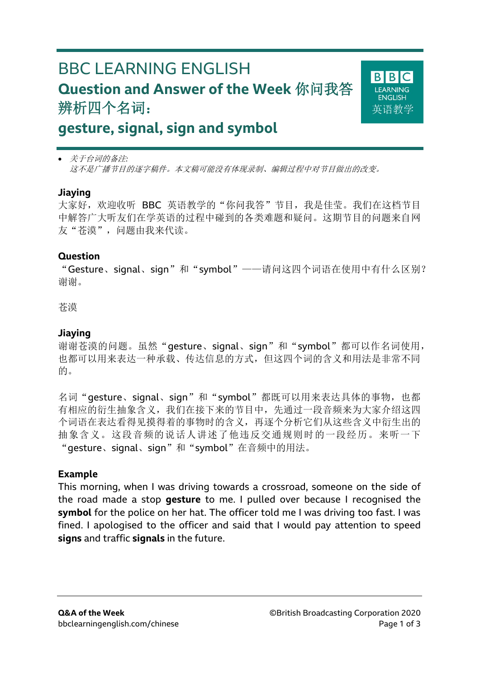# BBC LEARNING ENGLISH **Question and Answer of the Week** 你问我答 辨析四个名词:



## **gesture, signal, sign and symbol**

 关于台词的备注*:* 这不是广播节目的逐字稿件。本文稿可能没有体现录制、编辑过程中对节目做出的改变。

#### **Jiaying**

大家好,欢迎收听 BBC 英语教学的"你问我答"节目,我是佳莹。我们在这档节目 中解答广大听友们在学英语的过程中碰到的各类难题和疑问。这期节目的问题来自网 友"苍漠",问题由我来代读。

#### **Question**

"Gesture、signal、sign"和"symbol"——请问这四个词语在使用中有什么区别? 谢谢。

#### 苍漠

### **Jiaying**

谢谢苍漠的问题。虽然"qesture、siqnal、siqn"和"symbol"都可以作名词使用, 也都可以用来表达一种承载、传达信息的方式,但这四个词的含义和用法是非常不同 的。

名词"gesture、signal、sign"和"symbol"都既可以用来表达具体的事物, 也都 有相应的衍生抽象含义,我们在接下来的节目中,先通过一段音频来为大家介绍这四 个词语在表达看得见摸得着的事物时的含义,再逐个分析它们从这些含义中衍生出的 抽象含义。这段音频的说话人讲述了他违反交通规则时的一段经历。来听一下 "gesture、signal、sign"和"symbol"在音频中的用法。

#### **Example**

This morning, when I was driving towards a crossroad, someone on the side of the road made a stop **gesture** to me. I pulled over because I recognised the **symbol** for the police on her hat. The officer told me I was driving too fast. I was fined. I apologised to the officer and said that I would pay attention to speed **signs** and traffic **signals** in the future.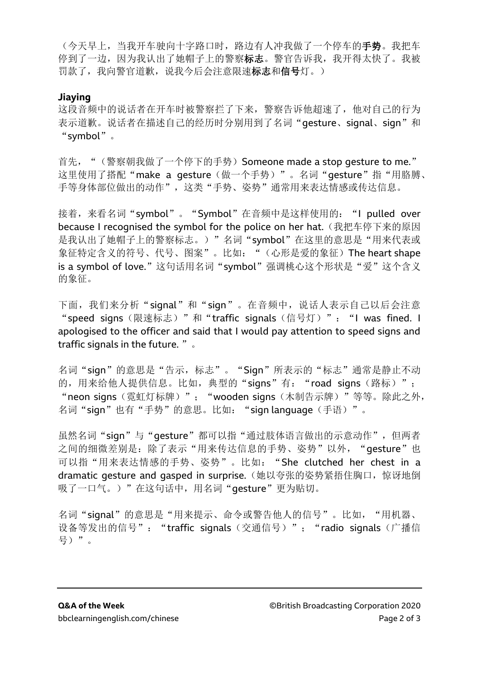(今天早上,当我开车驶向十字路口时,路边有人冲我做了一个停车的手势。我把车 停到了一边,因为我认出了她帽子上的警察标志。警官告诉我,我开得太快了。我被 罚款了,我向警官道歉,说我今后会注意限速标志和信号灯。)

#### **Jiaying**

这段音频中的说话者在开车时被警察拦了下来,警察告诉他超速了,他对自己的行为 表示道歉。说话者在描述自己的经历时分别用到了名词"qesture、signal、sign"和 "symbol"。

首先, "(警察朝我做了一个停下的手势) Someone made a stop gesture to me." 这里使用了搭配"make a gesture(做一个手势)"。名词"gesture"指"用胳膊、 手等身体部位做出的动作",这类"手势、姿势"通常用来表达情感或传达信息。

接着,来看名词"symbol"。"Symbol"在音频中是这样使用的:"I pulled over because I recognised the symbol for the police on her hat. (我把车停下来的原因 是我认出了她帽子上的警察标志。)"名词"symbol"在这里的意思是"用来代表或 象征特定含义的符号、代号、图案"。比如: "(心形是爱的象征) The heart shape is a symbol of love."这句话用名词"symbol"强调桃心这个形状是"爱"这个含义 的象征。

下面,我们来分析"signal"和"sign"。在音频中,说话人表示自己以后会注意 "speed signs(限速标志)"和"traffic signals(信号灯)":"I was fined. I apologised to the officer and said that I would pay attention to speed signs and traffic signals in the future. "。

名词"sign"的意思是"告示,标志"。"Sign"所表示的"标志"通常是静止不动 的, 用来给他人提供信息。比如, 典型的"signs"有: "road signs(路标)"; "neon signs(霓虹灯标牌)"; "wooden signs(木制告示牌)"等等。除此之外, 名词"sign"也有"手势"的意思。比如: "sign language(手语)"。

虽然名词"sign"与"gesture"都可以指"通过肢体语言做出的示意动作",但两者 之间的细微差别是:除了表示"用来传达信息的手势、姿势"以外, "gesture"也 可以指"用来表达情感的手势、姿势"。比如: "She clutched her chest in a dramatic gesture and gasped in surprise. (她以夸张的姿势紧捂住胸口, 惊讶地倒 吸了一口气。)"在这句话中,用名词"qesture"更为贴切。

名词"signal"的意思是"用来提示、命令或警告他人的信号"。比如,"用机器、 设备等发出的信号": "traffic signals(交通信号)"; "radio signals(广播信 号)"。